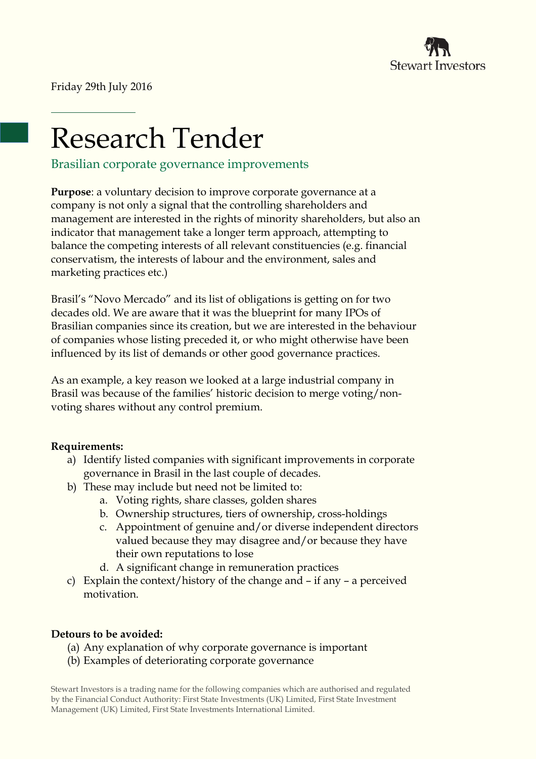

Friday 29th July 2016

# Research Tender

Brasilian corporate governance improvements

**Purpose**: a voluntary decision to improve corporate governance at a company is not only a signal that the controlling shareholders and management are interested in the rights of minority shareholders, but also an indicator that management take a longer term approach, attempting to balance the competing interests of all relevant constituencies (e.g. financial conservatism, the interests of labour and the environment, sales and marketing practices etc.)

Brasil's "Novo Mercado" and its list of obligations is getting on for two decades old. We are aware that it was the blueprint for many IPOs of Brasilian companies since its creation, but we are interested in the behaviour of companies whose listing preceded it, or who might otherwise have been influenced by its list of demands or other good governance practices.

As an example, a key reason we looked at a large industrial company in Brasil was because of the families' historic decision to merge voting/nonvoting shares without any control premium.

## **Requirements:**

- a) Identify listed companies with significant improvements in corporate governance in Brasil in the last couple of decades.
- b) These may include but need not be limited to:
	- a. Voting rights, share classes, golden shares
	- b. Ownership structures, tiers of ownership, cross-holdings
	- c. Appointment of genuine and/or diverse independent directors valued because they may disagree and/or because they have their own reputations to lose
	- d. A significant change in remuneration practices
- c) Explain the context/history of the change and if any a perceived motivation.

## **Detours to be avoided:**

- (a) Any explanation of why corporate governance is important
- (b) Examples of deteriorating corporate governance

Stewart Investors is a trading name for the following companies which are authorised and regulated by the Financial Conduct Authority: First State Investments (UK) Limited, First State Investment Management (UK) Limited, First State Investments International Limited.